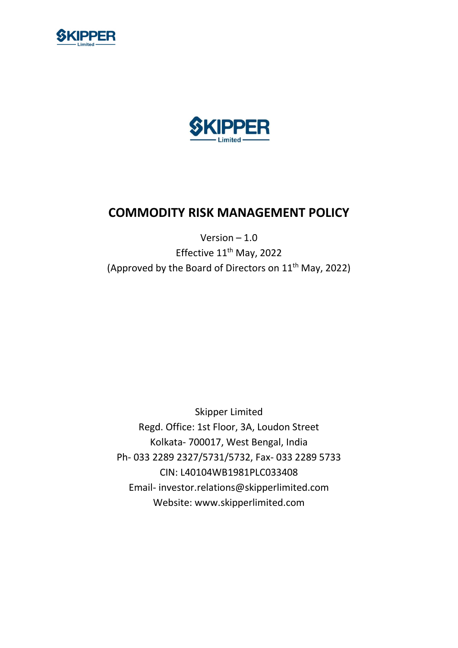



# COMMODITY RISK MANAGEMENT POLICY

# Version  $-1.0$ Effective 11<sup>th</sup> May, 2022 (Approved by the Board of Directors on 11th May, 2022)

Skipper Limited Regd. Office: 1st Floor, 3A, Loudon Street Kolkata- 700017, West Bengal, India Ph- 033 2289 2327/5731/5732, Fax- 033 2289 5733 CIN: L40104WB1981PLC033408 Email- investor.relations@skipperlimited.com Website: www.skipperlimited.com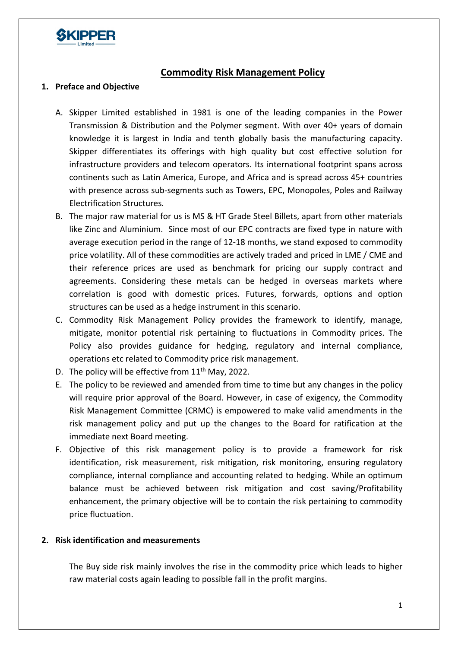

# Commodity Risk Management Policy

#### 1. Preface and Objective

- A. Skipper Limited established in 1981 is one of the leading companies in the Power Transmission & Distribution and the Polymer segment. With over 40+ years of domain knowledge it is largest in India and tenth globally basis the manufacturing capacity. Skipper differentiates its offerings with high quality but cost effective solution for infrastructure providers and telecom operators. Its international footprint spans across continents such as Latin America, Europe, and Africa and is spread across 45+ countries with presence across sub-segments such as Towers, EPC, Monopoles, Poles and Railway Electrification Structures.
- B. The major raw material for us is MS & HT Grade Steel Billets, apart from other materials like Zinc and Aluminium. Since most of our EPC contracts are fixed type in nature with average execution period in the range of 12-18 months, we stand exposed to commodity price volatility. All of these commodities are actively traded and priced in LME / CME and their reference prices are used as benchmark for pricing our supply contract and agreements. Considering these metals can be hedged in overseas markets where correlation is good with domestic prices. Futures, forwards, options and option structures can be used as a hedge instrument in this scenario.
- C. Commodity Risk Management Policy provides the framework to identify, manage, mitigate, monitor potential risk pertaining to fluctuations in Commodity prices. The Policy also provides guidance for hedging, regulatory and internal compliance, operations etc related to Commodity price risk management.
- D. The policy will be effective from 11<sup>th</sup> May, 2022.
- E. The policy to be reviewed and amended from time to time but any changes in the policy will require prior approval of the Board. However, in case of exigency, the Commodity Risk Management Committee (CRMC) is empowered to make valid amendments in the risk management policy and put up the changes to the Board for ratification at the immediate next Board meeting.
- F. Objective of this risk management policy is to provide a framework for risk identification, risk measurement, risk mitigation, risk monitoring, ensuring regulatory compliance, internal compliance and accounting related to hedging. While an optimum balance must be achieved between risk mitigation and cost saving/Profitability enhancement, the primary objective will be to contain the risk pertaining to commodity price fluctuation.

#### 2. Risk identification and measurements

The Buy side risk mainly involves the rise in the commodity price which leads to higher raw material costs again leading to possible fall in the profit margins.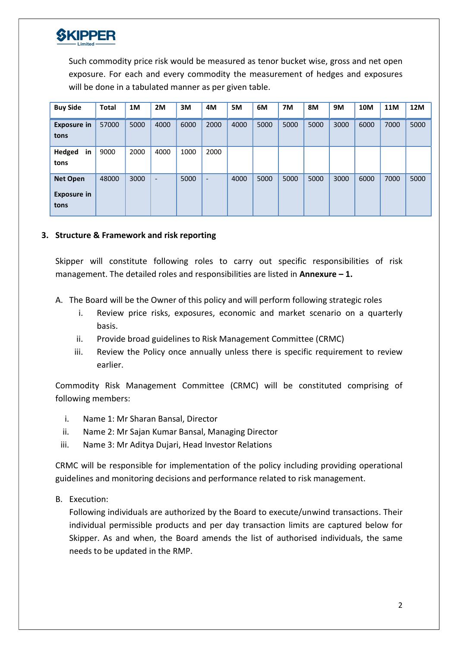

Such commodity price risk would be measured as tenor bucket wise, gross and net open exposure. For each and every commodity the measurement of hedges and exposures will be done in a tabulated manner as per given table.

| <b>Buy Side</b>                               | <b>Total</b> | 1M   | 2M                       | 3M   | 4M                       | 5M   | 6M   | 7M   | <b>8M</b> | 9M   | 10M  | <b>11M</b> | 12M  |
|-----------------------------------------------|--------------|------|--------------------------|------|--------------------------|------|------|------|-----------|------|------|------------|------|
| <b>Exposure in</b><br>tons                    | 57000        | 5000 | 4000                     | 6000 | 2000                     | 4000 | 5000 | 5000 | 5000      | 3000 | 6000 | 7000       | 5000 |
| <b>Hedged</b><br>in<br>tons                   | 9000         | 2000 | 4000                     | 1000 | 2000                     |      |      |      |           |      |      |            |      |
| <b>Net Open</b><br><b>Exposure in</b><br>tons | 48000        | 3000 | $\overline{\phantom{a}}$ | 5000 | $\overline{\phantom{a}}$ | 4000 | 5000 | 5000 | 5000      | 3000 | 6000 | 7000       | 5000 |

#### 3. Structure & Framework and risk reporting

Skipper will constitute following roles to carry out specific responsibilities of risk management. The detailed roles and responsibilities are listed in Annexure  $-1$ .

- A. The Board will be the Owner of this policy and will perform following strategic roles
	- i. Review price risks, exposures, economic and market scenario on a quarterly basis.
	- ii. Provide broad guidelines to Risk Management Committee (CRMC)
	- iii. Review the Policy once annually unless there is specific requirement to review earlier.

Commodity Risk Management Committee (CRMC) will be constituted comprising of following members:

- i. Name 1: Mr Sharan Bansal, Director
- ii. Name 2: Mr Sajan Kumar Bansal, Managing Director
- iii. Name 3: Mr Aditya Dujari, Head Investor Relations

CRMC will be responsible for implementation of the policy including providing operational guidelines and monitoring decisions and performance related to risk management.

B. Execution:

Following individuals are authorized by the Board to execute/unwind transactions. Their individual permissible products and per day transaction limits are captured below for Skipper. As and when, the Board amends the list of authorised individuals, the same needs to be updated in the RMP.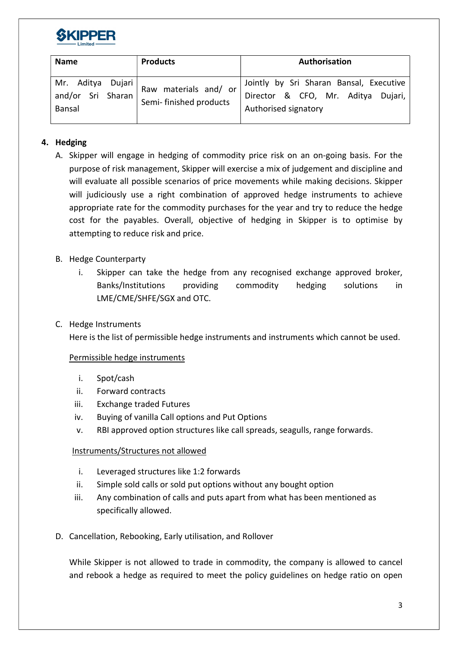

| <b>Name</b>                 | <b>Products</b>                                                                  | Authorisation                                                                                         |  |  |  |  |  |  |
|-----------------------------|----------------------------------------------------------------------------------|-------------------------------------------------------------------------------------------------------|--|--|--|--|--|--|
| and/or Sri Sharan<br>Bansal | Mr. Aditya Dujari $Raw$ materials and/or <sup>1</sup><br>Semi- finished products | Jointly by Sri Sharan Bansal, Executive<br>Director & CFO, Mr. Aditya Dujari,<br>Authorised signatory |  |  |  |  |  |  |

# 4. Hedging

- A. Skipper will engage in hedging of commodity price risk on an on-going basis. For the purpose of risk management, Skipper will exercise a mix of judgement and discipline and will evaluate all possible scenarios of price movements while making decisions. Skipper will judiciously use a right combination of approved hedge instruments to achieve appropriate rate for the commodity purchases for the year and try to reduce the hedge cost for the payables. Overall, objective of hedging in Skipper is to optimise by attempting to reduce risk and price.
- B. Hedge Counterparty
	- i. Skipper can take the hedge from any recognised exchange approved broker, Banks/Institutions providing commodity hedging solutions in LME/CME/SHFE/SGX and OTC.
- C. Hedge Instruments

Here is the list of permissible hedge instruments and instruments which cannot be used.

#### Permissible hedge instruments

- i. Spot/cash
- ii. Forward contracts
- iii. Exchange traded Futures
- iv. Buying of vanilla Call options and Put Options
- v. RBI approved option structures like call spreads, seagulls, range forwards.

#### Instruments/Structures not allowed

- i. Leveraged structures like 1:2 forwards
- ii. Simple sold calls or sold put options without any bought option
- iii. Any combination of calls and puts apart from what has been mentioned as specifically allowed.
- D. Cancellation, Rebooking, Early utilisation, and Rollover

While Skipper is not allowed to trade in commodity, the company is allowed to cancel and rebook a hedge as required to meet the policy guidelines on hedge ratio on open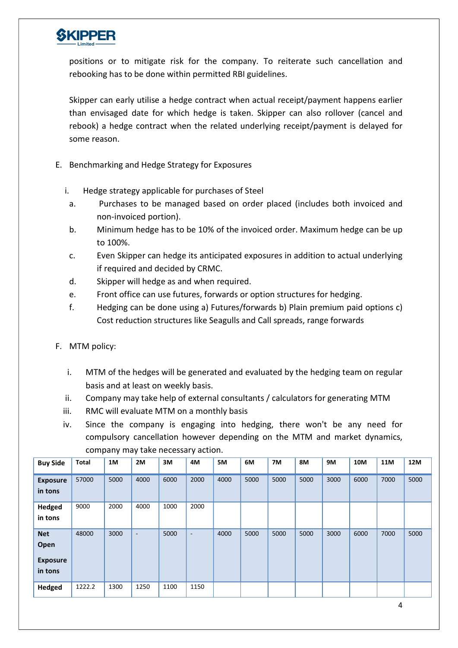

positions or to mitigate risk for the company. To reiterate such cancellation and rebooking has to be done within permitted RBI guidelines.

Skipper can early utilise a hedge contract when actual receipt/payment happens earlier than envisaged date for which hedge is taken. Skipper can also rollover (cancel and rebook) a hedge contract when the related underlying receipt/payment is delayed for some reason.

- E. Benchmarking and Hedge Strategy for Exposures
	- i. Hedge strategy applicable for purchases of Steel
		- a. Purchases to be managed based on order placed (includes both invoiced and non-invoiced portion).
	- b. Minimum hedge has to be 10% of the invoiced order. Maximum hedge can be up to 100%.
	- c. Even Skipper can hedge its anticipated exposures in addition to actual underlying if required and decided by CRMC.
	- d. Skipper will hedge as and when required.
	- e. Front office can use futures, forwards or option structures for hedging.
	- f. Hedging can be done using a) Futures/forwards b) Plain premium paid options c) Cost reduction structures like Seagulls and Call spreads, range forwards
- F. MTM policy:
	- i. MTM of the hedges will be generated and evaluated by the hedging team on regular basis and at least on weekly basis.
	- ii. Company may take help of external consultants / calculators for generating MTM
	- iii. RMC will evaluate MTM on a monthly basis
	- iv. Since the company is engaging into hedging, there won't be any need for compulsory cancellation however depending on the MTM and market dynamics, company may take necessary action.

| <b>Buy Side</b>                                  | Total  | 1M   | 2M                       | 3M   | 4M   | 5M   | 6M   | <b>7M</b> | <b>8M</b> | 9M   | 10M  | 11M  | <b>12M</b> |
|--------------------------------------------------|--------|------|--------------------------|------|------|------|------|-----------|-----------|------|------|------|------------|
| <b>Exposure</b><br>in tons                       | 57000  | 5000 | 4000                     | 6000 | 2000 | 4000 | 5000 | 5000      | 5000      | 3000 | 6000 | 7000 | 5000       |
| <b>Hedged</b><br>in tons                         | 9000   | 2000 | 4000                     | 1000 | 2000 |      |      |           |           |      |      |      |            |
| <b>Net</b><br>Open<br><b>Exposure</b><br>in tons | 48000  | 3000 | $\overline{\phantom{a}}$ | 5000 | ٠.   | 4000 | 5000 | 5000      | 5000      | 3000 | 6000 | 7000 | 5000       |
| <b>Hedged</b>                                    | 1222.2 | 1300 | 1250                     | 1100 | 1150 |      |      |           |           |      |      |      |            |

4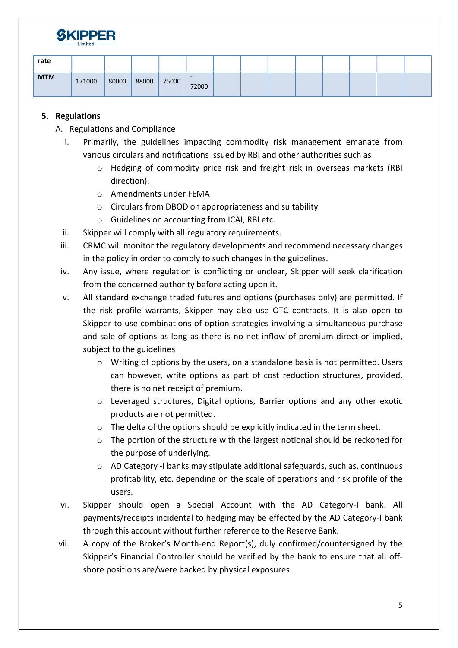

| rate       |        |       |       |       |                 |  |  |  |  |
|------------|--------|-------|-------|-------|-----------------|--|--|--|--|
| <b>MTM</b> | 171000 | 80000 | 88000 | 75000 | $\sim$<br>72000 |  |  |  |  |

## 5. Regulations

- A. Regulations and Compliance
	- i. Primarily, the guidelines impacting commodity risk management emanate from various circulars and notifications issued by RBI and other authorities such as
		- o Hedging of commodity price risk and freight risk in overseas markets (RBI direction).
		- o Amendments under FEMA
		- o Circulars from DBOD on appropriateness and suitability
		- o Guidelines on accounting from ICAI, RBI etc.
	- ii. Skipper will comply with all regulatory requirements.
	- iii. CRMC will monitor the regulatory developments and recommend necessary changes in the policy in order to comply to such changes in the guidelines.
	- iv. Any issue, where regulation is conflicting or unclear, Skipper will seek clarification from the concerned authority before acting upon it.
	- v. All standard exchange traded futures and options (purchases only) are permitted. If the risk profile warrants, Skipper may also use OTC contracts. It is also open to Skipper to use combinations of option strategies involving a simultaneous purchase and sale of options as long as there is no net inflow of premium direct or implied, subject to the guidelines
		- o Writing of options by the users, on a standalone basis is not permitted. Users can however, write options as part of cost reduction structures, provided, there is no net receipt of premium.
		- o Leveraged structures, Digital options, Barrier options and any other exotic products are not permitted.
		- o The delta of the options should be explicitly indicated in the term sheet.
		- $\circ$  The portion of the structure with the largest notional should be reckoned for the purpose of underlying.
		- $\circ$  AD Category -I banks may stipulate additional safeguards, such as, continuous profitability, etc. depending on the scale of operations and risk profile of the users.
	- vi. Skipper should open a Special Account with the AD Category-I bank. All payments/receipts incidental to hedging may be effected by the AD Category-I bank through this account without further reference to the Reserve Bank.
- vii. A copy of the Broker's Month-end Report(s), duly confirmed/countersigned by the Skipper's Financial Controller should be verified by the bank to ensure that all offshore positions are/were backed by physical exposures.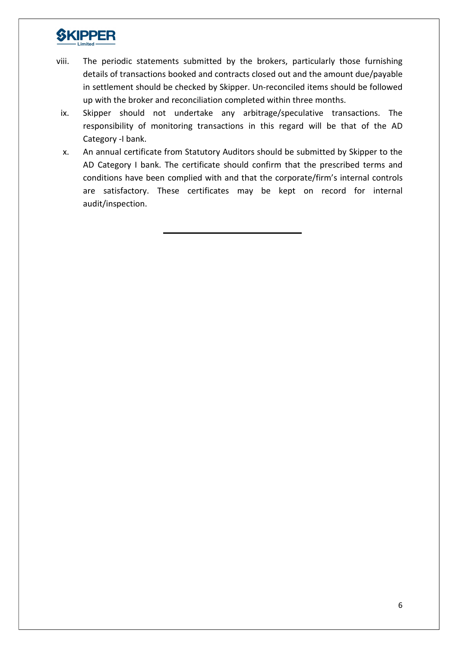# **SKIPPER**

- viii. The periodic statements submitted by the brokers, particularly those furnishing details of transactions booked and contracts closed out and the amount due/payable in settlement should be checked by Skipper. Un-reconciled items should be followed up with the broker and reconciliation completed within three months.
- ix. Skipper should not undertake any arbitrage/speculative transactions. The responsibility of monitoring transactions in this regard will be that of the AD Category -I bank.
- x. An annual certificate from Statutory Auditors should be submitted by Skipper to the AD Category I bank. The certificate should confirm that the prescribed terms and conditions have been complied with and that the corporate/firm's internal controls are satisfactory. These certificates may be kept on record for internal audit/inspection.